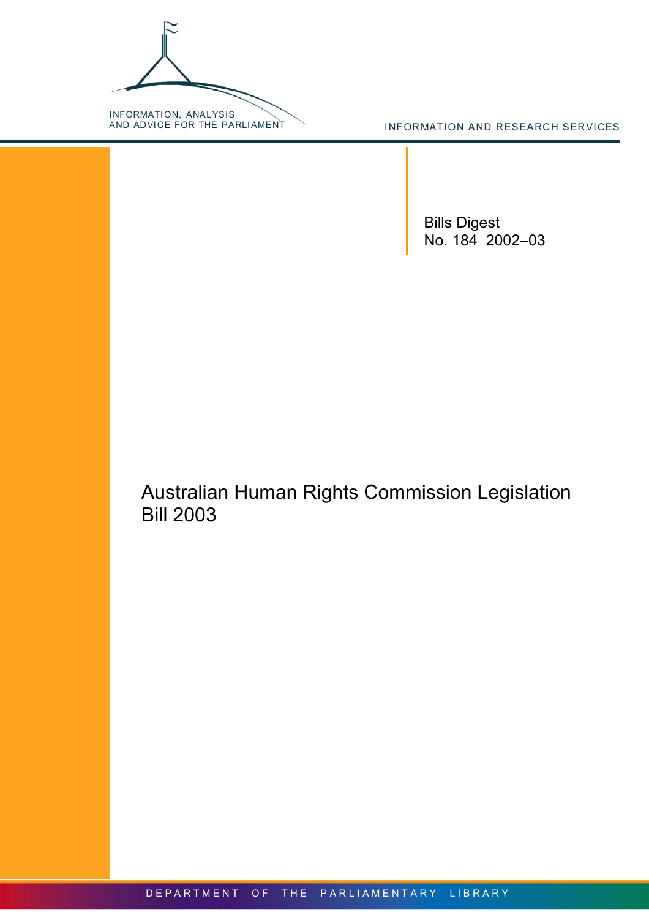INFORMATION, ANALYSIS<br>AND ADVICE FOR THE PARLIAMENT

INFORMATION AND RESEARCH SERVICES

Bills Digest No. 184 2002–03

Australian Human Rights Commission Legislation Bill 2003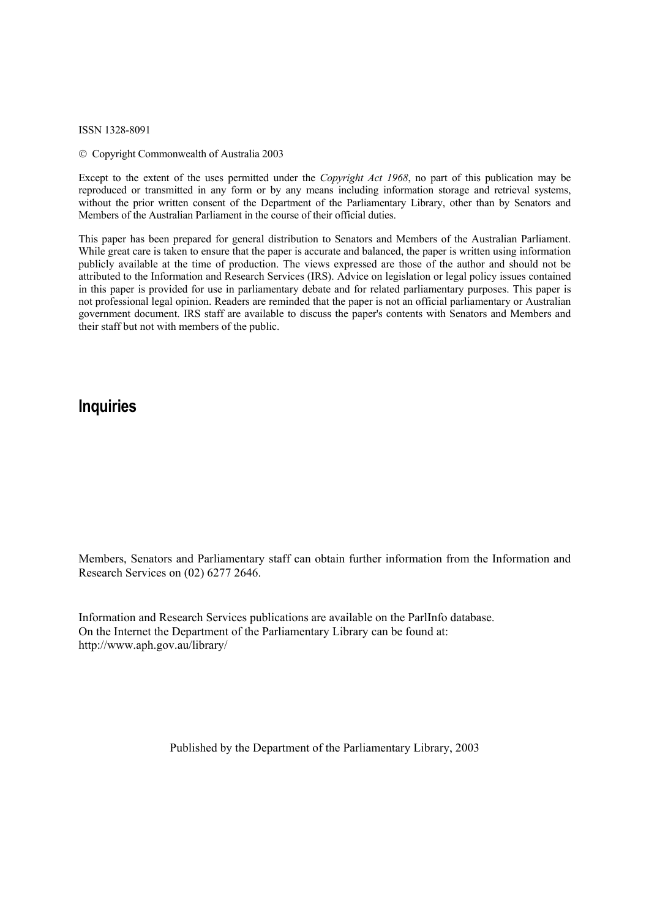ISSN 1328-8091

Copyright Commonwealth of Australia 2003

Except to the extent of the uses permitted under the *Copyright Act 1968*, no part of this publication may be reproduced or transmitted in any form or by any means including information storage and retrieval systems, without the prior written consent of the Department of the Parliamentary Library, other than by Senators and Members of the Australian Parliament in the course of their official duties.

This paper has been prepared for general distribution to Senators and Members of the Australian Parliament. While great care is taken to ensure that the paper is accurate and balanced, the paper is written using information publicly available at the time of production. The views expressed are those of the author and should not be attributed to the Information and Research Services (IRS). Advice on legislation or legal policy issues contained in this paper is provided for use in parliamentary debate and for related parliamentary purposes. This paper is not professional legal opinion. Readers are reminded that the paper is not an official parliamentary or Australian government document. IRS staff are available to discuss the paper's contents with Senators and Members and their staff but not with members of the public.

## **Inquiries**

Members, Senators and Parliamentary staff can obtain further information from the Information and Research Services on (02) 6277 2646.

Information and Research Services publications are available on the ParlInfo database. On the Internet the Department of the Parliamentary Library can be found at: <http://www.aph.gov.au/library/>

Published by the Department of the Parliamentary Library, 2003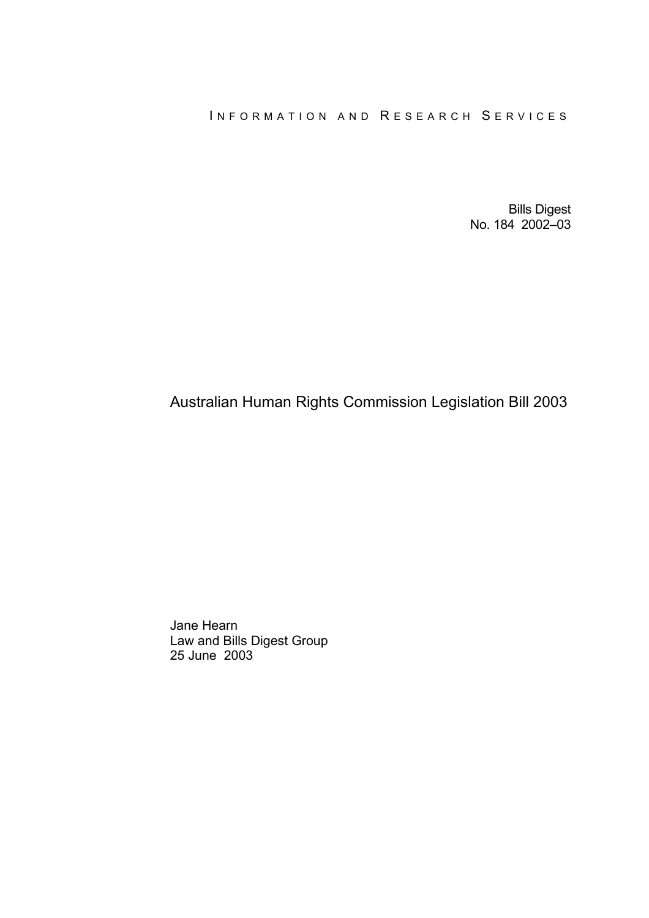### INFORMATION AND RESEARCH SERVICES

Bills Digest No. 184 2002–03

# Australian Human Rights Commission Legislation Bill 2003

Jane Hearn Law and Bills Digest Group 25 June 2003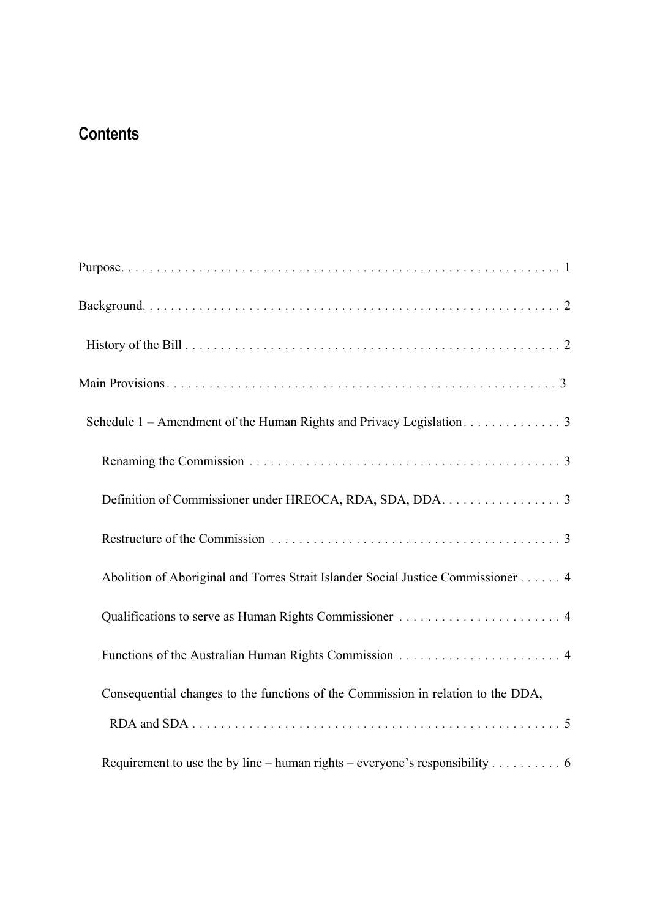# **Contents**

| Schedule 1 – Amendment of the Human Rights and Privacy Legislation. 3            |
|----------------------------------------------------------------------------------|
|                                                                                  |
| Definition of Commissioner under HREOCA, RDA, SDA, DDA. 3                        |
|                                                                                  |
| Abolition of Aboriginal and Torres Strait Islander Social Justice Commissioner 4 |
|                                                                                  |
|                                                                                  |
| Consequential changes to the functions of the Commission in relation to the DDA, |
|                                                                                  |
| Requirement to use the by line – human rights – everyone's responsibility 6      |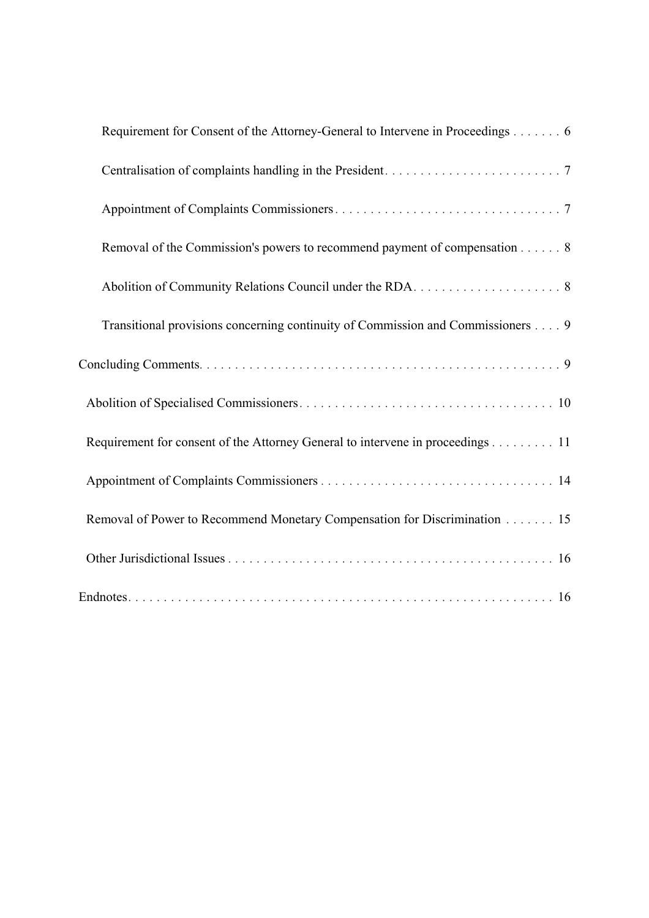| Requirement for Consent of the Attorney-General to Intervene in Proceedings 6   |
|---------------------------------------------------------------------------------|
|                                                                                 |
|                                                                                 |
| Removal of the Commission's powers to recommend payment of compensation 8       |
|                                                                                 |
| Transitional provisions concerning continuity of Commission and Commissioners 9 |
|                                                                                 |
|                                                                                 |
| Requirement for consent of the Attorney General to intervene in proceedings 11  |
|                                                                                 |
| Removal of Power to Recommend Monetary Compensation for Discrimination 15       |
|                                                                                 |
|                                                                                 |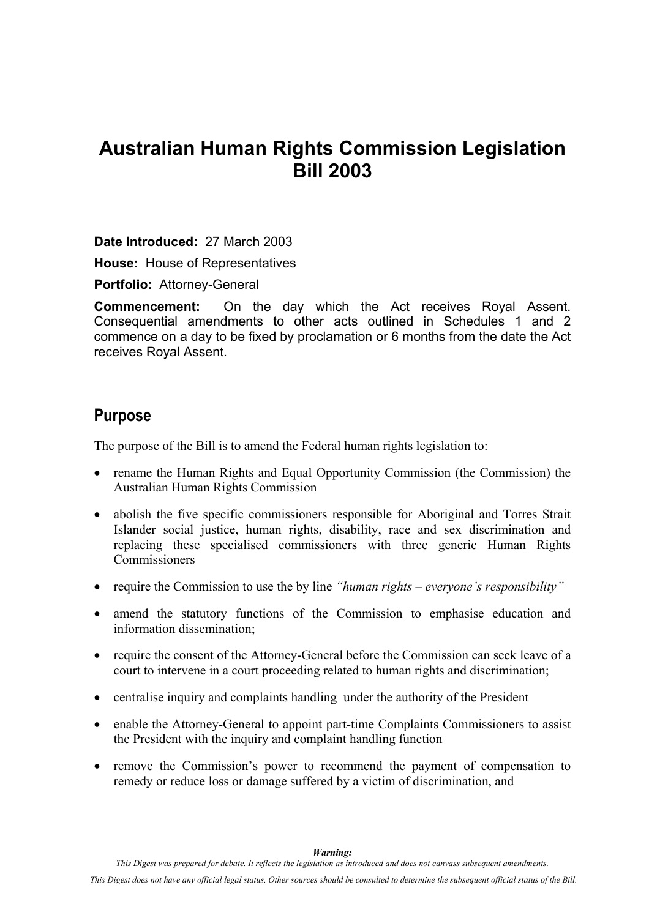# <span id="page-6-0"></span>**Australian Human Rights Commission Legislation Bill 2003**

**Date Introduced:** 27 March 2003

**House:** House of Representatives

**Portfolio:** Attorney-General

**Commencement:** On the day which the Act receives Royal Assent. Consequential amendments to other acts outlined in Schedules 1 and 2 commence on a day to be fixed by proclamation or 6 months from the date the Act receives Royal Assent.

# **Purpose**

The purpose of the Bill is to amend the Federal human rights legislation to:

- rename the Human Rights and Equal Opportunity Commission (the Commission) the Australian Human Rights Commission
- abolish the five specific commissioners responsible for Aboriginal and Torres Strait Islander social justice, human rights, disability, race and sex discrimination and replacing these specialised commissioners with three generic Human Rights **Commissioners**
- require the Commission to use the by line *"human rights everyone's responsibility"*
- amend the statutory functions of the Commission to emphasise education and information dissemination;
- require the consent of the Attorney-General before the Commission can seek leave of a court to intervene in a court proceeding related to human rights and discrimination;
- centralise inquiry and complaints handling under the authority of the President
- enable the Attorney-General to appoint part-time Complaints Commissioners to assist the President with the inquiry and complaint handling function
- remove the Commission's power to recommend the payment of compensation to remedy or reduce loss or damage suffered by a victim of discrimination, and

*Warning:* 

*This Digest was prepared for debate. It reflects the legislation as introduced and does not canvass subsequent amendments.*

*This Digest does not have any official legal status. Other sources should be consulted to determine the subsequent official status of the Bill.*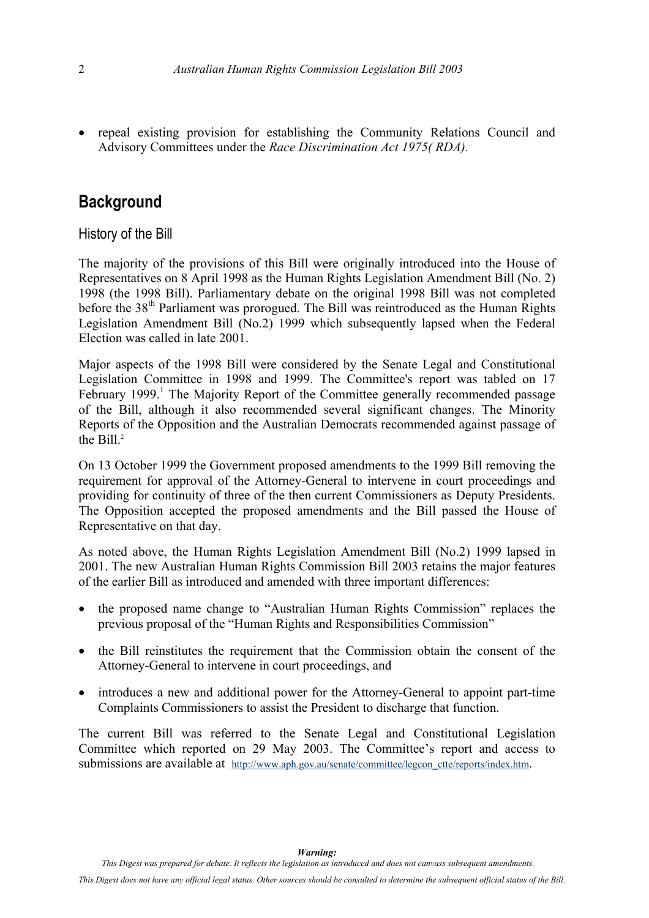<span id="page-7-0"></span>• repeal existing provision for establishing the Community Relations Council and Advisory Committees under the *Race Discrimination Act 1975( RDA).*

# **Background**

History of the Bill

The majority of the provisions of this Bill were originally introduced into the House of Representatives on 8 April 1998 as the Human Rights Legislation Amendment Bill (No. 2) 1998 (the 1998 Bill). Parliamentary debate on the original 1998 Bill was not completed before the 38<sup>th</sup> Parliament was prorogued. The Bill was reintroduced as the Human Rights Legislation Amendment Bill (No.2) 1999 which subsequently lapsed when the Federal Election was called in late 2001.

Major aspects of the 1998 Bill were considered by the Senate Legal and Constitutional Legislation Committee in 1998 and 1999. The Committee's report was tabled on 17 February [1](#page-8-1)999.<sup>1</sup> The Majority Report of the Committee generally recommended passage of the Bill, although it also recommended several significant changes. The Minority Reports of the Opposition and the Australian Democrats recommended against passage of the Bill. $2$ 

On 13 October 1999 the Government proposed amendments to the 1999 Bill removing the requirement for approval of the Attorney-General to intervene in court proceedings and providing for continuity of three of the then current Commissioners as Deputy Presidents. The Opposition accepted the proposed amendments and the Bill passed the House of Representative on that day.

As noted above, the Human Rights Legislation Amendment Bill (No.2) 1999 lapsed in 2001. The new Australian Human Rights Commission Bill 2003 retains the major features of the earlier Bill as introduced and amended with three important differences:

- the proposed name change to "Australian Human Rights Commission" replaces the previous proposal of the "Human Rights and Responsibilities Commission"
- the Bill reinstitutes the requirement that the Commission obtain the consent of the Attorney-General to intervene in court proceedings, and
- introduces a new and additional power for the Attorney-General to appoint part-time Complaints Commissioners to assist the President to discharge that function.

The current Bill was referred to the Senate Legal and Constitutional Legislation Committee which reported on 29 May 2003. The Committee's report and access to submissions are available at [http://www.aph.gov.au/senate/committee/legcon\\_ctte/reports/index.htm](http://www.aph.gov.au/senate/committee/legcon_ctte/reports/index.htm).

*This Digest does not have any official legal status. Other sources should be consulted to determine the subsequent official status of the Bill.*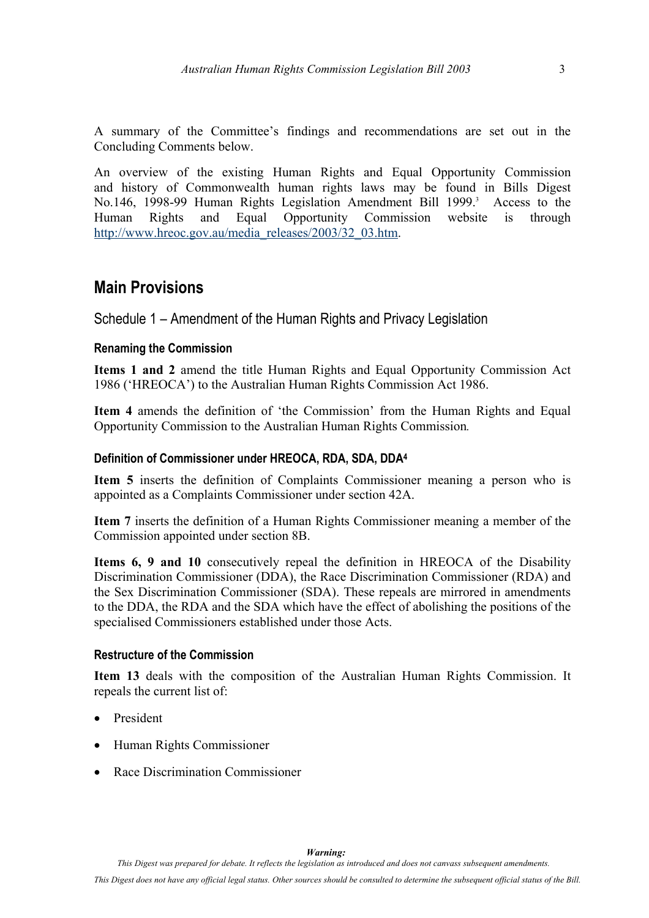<span id="page-8-0"></span>A summary of the Committee's findings and recommendations are set out in the Concluding Comments below.

<span id="page-8-2"></span>An overview of the existing Human Rights and Equal Opportunity Commission and history of Commonwealth human rights laws may be found in Bills Digest No.146, 1998-99 Human Rights Legislation Amendment Bill 1999.<sup>3</sup> Access to the Human Rights and Equal Opportunity Commission website is through [http://www.hreoc.gov.au/media\\_releases/2003/32\\_03.htm.](http://www.hreoc.gov.au/media_releases/2003/32_03.htm)

## **Main Provisions**

Schedule 1 – Amendment of the Human Rights and Privacy Legislation

#### **Renaming the Commission**

**Items 1 and 2** amend the title Human Rights and Equal Opportunity Commission Act 1986 ('HREOCA') to the Australian Human Rights Commission Act 1986.

**Item 4** amends the definition of 'the Commission' from the Human Rights and Equal Opportunity Commission to the Australian Human Rights Commission*.* 

#### **Definition of Commissioner under HREOCA, RDA, SDA, DDA[4](#page-9-2)**

**Item 5** inserts the definition of Complaints Commissioner meaning a person who is appointed as a Complaints Commissioner under section 42A.

**Item 7** inserts the definition of a Human Rights Commissioner meaning a member of the Commission appointed under section 8B.

**Items 6, 9 and 10** consecutively repeal the definition in HREOCA of the Disability Discrimination Commissioner (DDA), the Race Discrimination Commissioner (RDA) and the Sex Discrimination Commissioner (SDA). These repeals are mirrored in amendments to the DDA, the RDA and the SDA which have the effect of abolishing the positions of the specialised Commissioners established under those Acts.

#### **Restructure of the Commission**

**Item 13** deals with the composition of the Australian Human Rights Commission. It repeals the current list of:

- <span id="page-8-1"></span>**President**
- Human Rights Commissioner
- Race Discrimination Commissioner

*This Digest was prepared for debate. It reflects the legislation as introduced and does not canvass subsequent amendments.*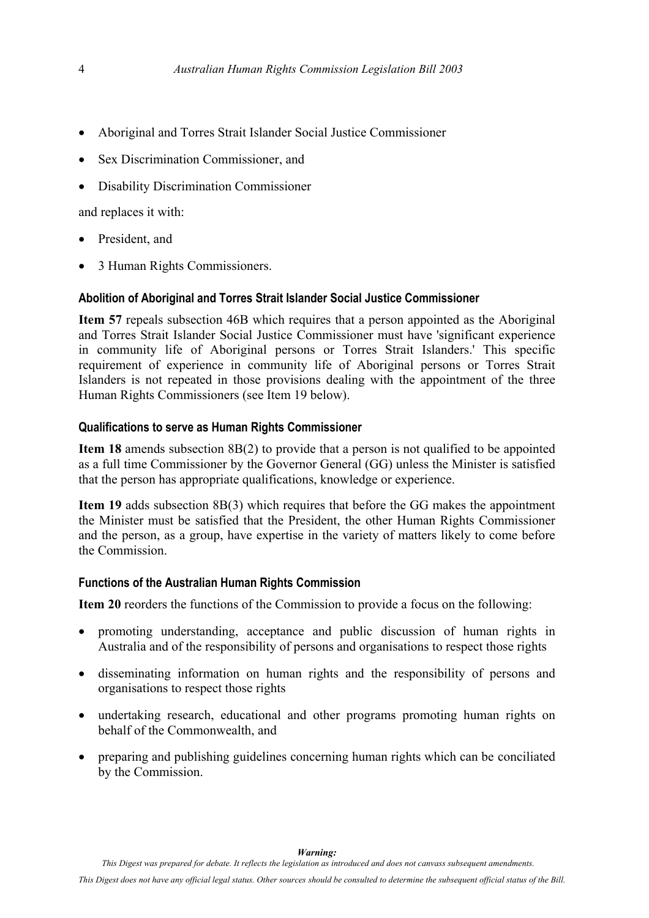- <span id="page-9-0"></span>• Aboriginal and Torres Strait Islander Social Justice Commissioner
- Sex Discrimination Commissioner, and
- Disability Discrimination Commissioner

<span id="page-9-1"></span>and replaces it with:

- <span id="page-9-2"></span>• President, and
- 3 Human Rights Commissioners.

#### **Abolition of Aboriginal and Torres Strait Islander Social Justice Commissioner**

**Item 57** repeals subsection 46B which requires that a person appointed as the Aboriginal and Torres Strait Islander Social Justice Commissioner must have 'significant experience in community life of Aboriginal persons or Torres Strait Islanders.' This specific requirement of experience in community life of Aboriginal persons or Torres Strait Islanders is not repeated in those provisions dealing with the appointment of the three Human Rights Commissioners (see Item 19 below).

#### **Qualifications to serve as Human Rights Commissioner**

**Item 18** amends subsection 8B(2) to provide that a person is not qualified to be appointed as a full time Commissioner by the Governor General (GG) unless the Minister is satisfied that the person has appropriate qualifications, knowledge or experience.

**Item 19** adds subsection 8B(3) which requires that before the GG makes the appointment the Minister must be satisfied that the President, the other Human Rights Commissioner and the person, as a group, have expertise in the variety of matters likely to come before the Commission.

#### **Functions of the Australian Human Rights Commission**

**Item 20** reorders the functions of the Commission to provide a focus on the following:

- promoting understanding, acceptance and public discussion of human rights in Australia and of the responsibility of persons and organisations to respect those rights
- disseminating information on human rights and the responsibility of persons and organisations to respect those rights
- undertaking research, educational and other programs promoting human rights on behalf of the Commonwealth, and
- preparing and publishing guidelines concerning human rights which can be conciliated by the Commission.

*This Digest does not have any official legal status. Other sources should be consulted to determine the subsequent official status of the Bill.*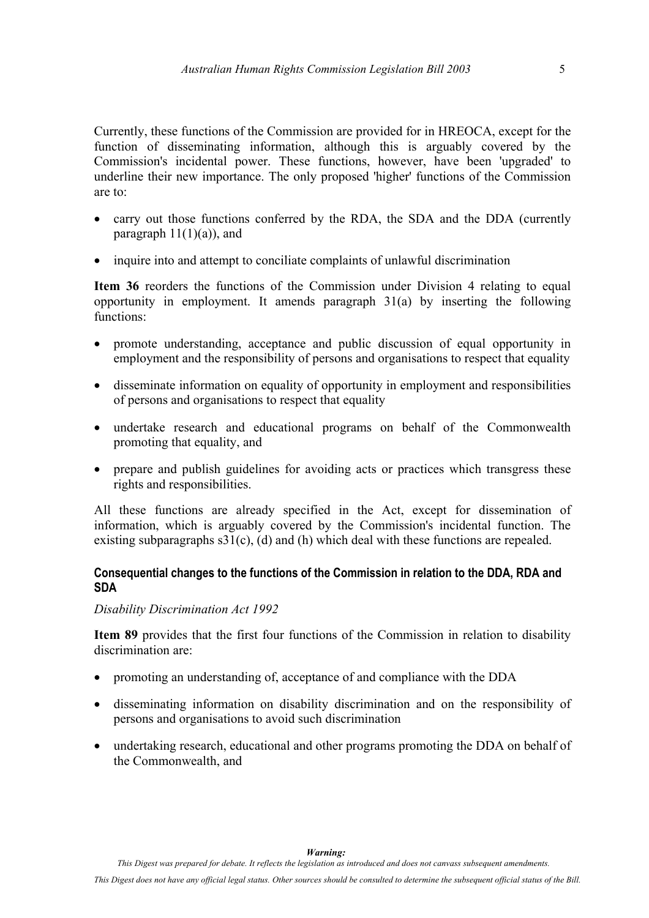<span id="page-10-0"></span>Currently, these functions of the Commission are provided for in HREOCA, except for the function of disseminating information, although this is arguably covered by the Commission's incidental power. These functions, however, have been 'upgraded' to underline their new importance. The only proposed 'higher' functions of the Commission are to:

- carry out those functions conferred by the RDA, the SDA and the DDA (currently paragraph  $11(1)(a)$ , and
- inquire into and attempt to conciliate complaints of unlawful discrimination

**Item 36** reorders the functions of the Commission under Division 4 relating to equal opportunity in employment. It amends paragraph 31(a) by inserting the following functions:

- promote understanding, acceptance and public discussion of equal opportunity in employment and the responsibility of persons and organisations to respect that equality
- disseminate information on equality of opportunity in employment and responsibilities of persons and organisations to respect that equality
- undertake research and educational programs on behalf of the Commonwealth promoting that equality, and
- prepare and publish guidelines for avoiding acts or practices which transgress these rights and responsibilities.

All these functions are already specified in the Act, except for dissemination of information, which is arguably covered by the Commission's incidental function. The existing subparagraphs  $s31(c)$ , (d) and (h) which deal with these functions are repealed.

#### **Consequential changes to the functions of the Commission in relation to the DDA, RDA and SDA**

#### *Disability Discrimination Act 1992*

**Item 89** provides that the first four functions of the Commission in relation to disability discrimination are:

- promoting an understanding of, acceptance of and compliance with the DDA
- disseminating information on disability discrimination and on the responsibility of persons and organisations to avoid such discrimination
- undertaking research, educational and other programs promoting the DDA on behalf of the Commonwealth, and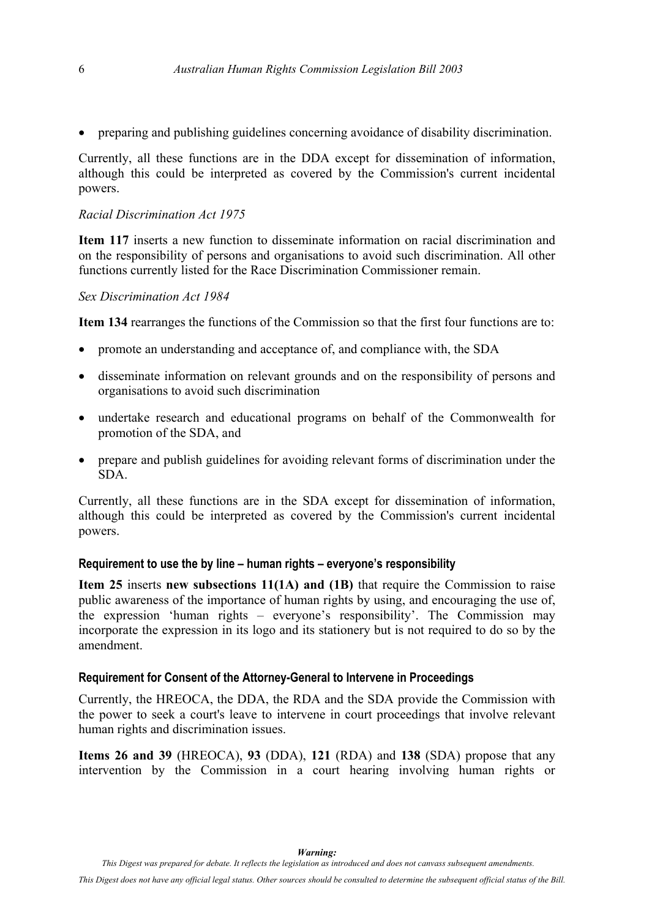<span id="page-11-0"></span>• preparing and publishing guidelines concerning avoidance of disability discrimination.

Currently, all these functions are in the DDA except for dissemination of information, although this could be interpreted as covered by the Commission's current incidental powers.

#### *Racial Discrimination Act 1975*

**Item 117** inserts a new function to disseminate information on racial discrimination and on the responsibility of persons and organisations to avoid such discrimination. All other functions currently listed for the Race Discrimination Commissioner remain.

#### *Sex Discrimination Act 1984*

**Item 134** rearranges the functions of the Commission so that the first four functions are to:

- promote an understanding and acceptance of, and compliance with, the SDA
- disseminate information on relevant grounds and on the responsibility of persons and organisations to avoid such discrimination
- undertake research and educational programs on behalf of the Commonwealth for promotion of the SDA, and
- prepare and publish guidelines for avoiding relevant forms of discrimination under the SDA.

Currently, all these functions are in the SDA except for dissemination of information, although this could be interpreted as covered by the Commission's current incidental powers.

#### **Requirement to use the by line – human rights – everyone's responsibility**

**Item 25** inserts **new subsections 11(1A) and (1B)** that require the Commission to raise public awareness of the importance of human rights by using, and encouraging the use of, the expression 'human rights – everyone's responsibility'. The Commission may incorporate the expression in its logo and its stationery but is not required to do so by the amendment.

#### **Requirement for Consent of the Attorney-General to Intervene in Proceedings**

Currently, the HREOCA, the DDA, the RDA and the SDA provide the Commission with the power to seek a court's leave to intervene in court proceedings that involve relevant human rights and discrimination issues.

**Items 26 and 39** (HREOCA), **93** (DDA), **121** (RDA) and **138** (SDA) propose that any intervention by the Commission in a court hearing involving human rights or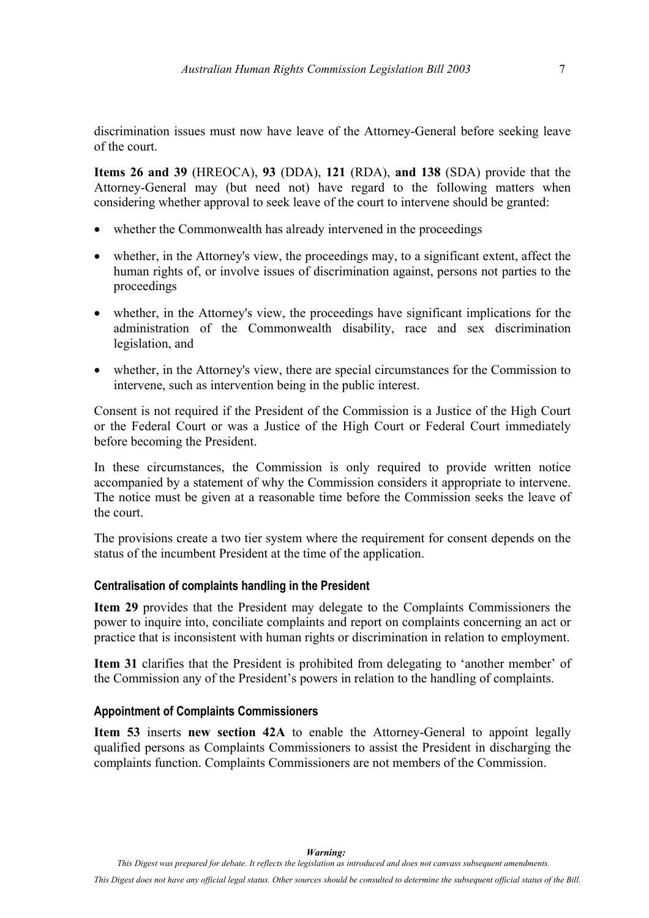<span id="page-12-0"></span>discrimination issues must now have leave of the Attorney-General before seeking leave of the court.

**Items 26 and 39** (HREOCA), **93** (DDA), **121** (RDA), **and 138** (SDA) provide that the Attorney-General may (but need not) have regard to the following matters when considering whether approval to seek leave of the court to intervene should be granted:

- whether the Commonwealth has already intervened in the proceedings
- whether, in the Attorney's view, the proceedings may, to a significant extent, affect the human rights of, or involve issues of discrimination against, persons not parties to the proceedings
- whether, in the Attorney's view, the proceedings have significant implications for the administration of the Commonwealth disability, race and sex discrimination legislation, and
- whether, in the Attorney's view, there are special circumstances for the Commission to intervene, such as intervention being in the public interest.

Consent is not required if the President of the Commission is a Justice of the High Court or the Federal Court or was a Justice of the High Court or Federal Court immediately before becoming the President.

In these circumstances, the Commission is only required to provide written notice accompanied by a statement of why the Commission considers it appropriate to intervene. The notice must be given at a reasonable time before the Commission seeks the leave of the court.

The provisions create a two tier system where the requirement for consent depends on the status of the incumbent President at the time of the application.

#### **Centralisation of complaints handling in the President**

**Item 29** provides that the President may delegate to the Complaints Commissioners the power to inquire into, conciliate complaints and report on complaints concerning an act or practice that is inconsistent with human rights or discrimination in relation to employment.

**Item 31** clarifies that the President is prohibited from delegating to 'another member' of the Commission any of the President's powers in relation to the handling of complaints.

#### **Appointment of Complaints Commissioners**

**Item 53** inserts **new section 42A** to enable the Attorney-General to appoint legally qualified persons as Complaints Commissioners to assist the President in discharging the complaints function. Complaints Commissioners are not members of the Commission.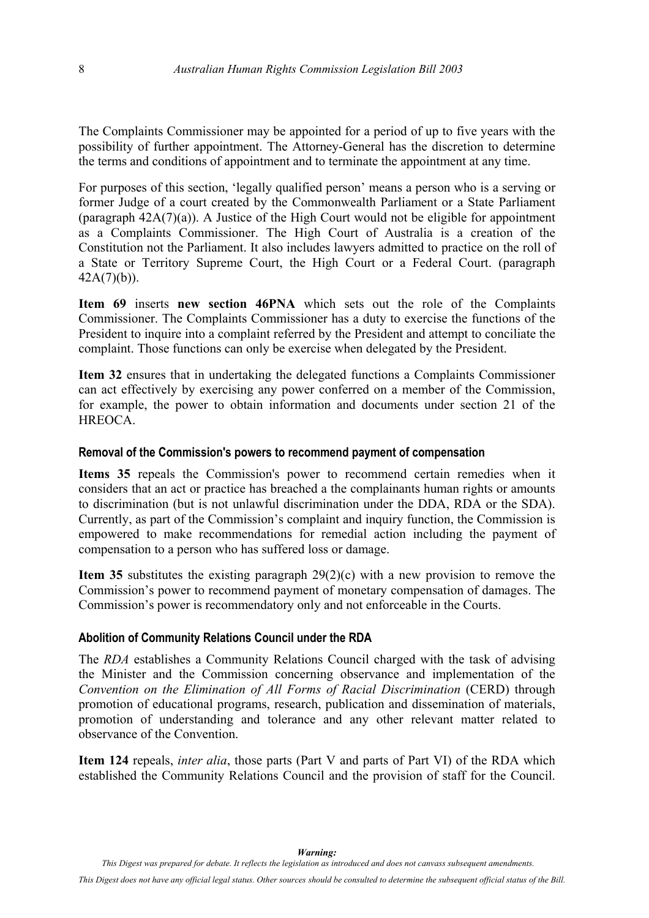<span id="page-13-0"></span>The Complaints Commissioner may be appointed for a period of up to five years with the possibility of further appointment. The Attorney-General has the discretion to determine the terms and conditions of appointment and to terminate the appointment at any time.

For purposes of this section, 'legally qualified person' means a person who is a serving or former Judge of a court created by the Commonwealth Parliament or a State Parliament (paragraph 42A(7)(a)). A Justice of the High Court would not be eligible for appointment as a Complaints Commissioner. The High Court of Australia is a creation of the Constitution not the Parliament. It also includes lawyers admitted to practice on the roll of a State or Territory Supreme Court, the High Court or a Federal Court. (paragraph 42A(7)(b)).

**Item 69** inserts **new section 46PNA** which sets out the role of the Complaints Commissioner. The Complaints Commissioner has a duty to exercise the functions of the President to inquire into a complaint referred by the President and attempt to conciliate the complaint. Those functions can only be exercise when delegated by the President.

**Item 32** ensures that in undertaking the delegated functions a Complaints Commissioner can act effectively by exercising any power conferred on a member of the Commission, for example, the power to obtain information and documents under section 21 of the **HREOCA** 

#### **Removal of the Commission's powers to recommend payment of compensation**

**Items 35** repeals the Commission's power to recommend certain remedies when it considers that an act or practice has breached a the complainants human rights or amounts to discrimination (but is not unlawful discrimination under the DDA, RDA or the SDA). Currently, as part of the Commission's complaint and inquiry function, the Commission is empowered to make recommendations for remedial action including the payment of compensation to a person who has suffered loss or damage.

**Item 35** substitutes the existing paragraph 29(2)(c) with a new provision to remove the Commission's power to recommend payment of monetary compensation of damages. The Commission's power is recommendatory only and not enforceable in the Courts.

#### **Abolition of Community Relations Council under the RDA**

The *RDA* establishes a Community Relations Council charged with the task of advising the Minister and the Commission concerning observance and implementation of the *Convention on the Elimination of All Forms of Racial Discrimination* (CERD) through promotion of educational programs, research, publication and dissemination of materials, promotion of understanding and tolerance and any other relevant matter related to observance of the Convention.

**Item 124** repeals, *inter alia*, those parts (Part V and parts of Part VI) of the RDA which established the Community Relations Council and the provision of staff for the Council.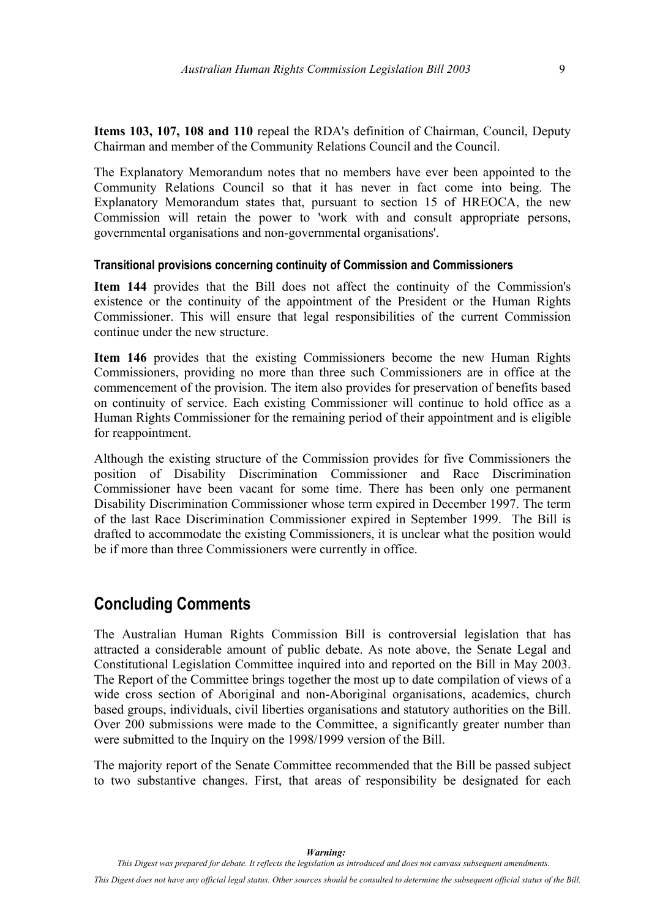<span id="page-14-0"></span>**Items 103, 107, 108 and 110** repeal the RDA's definition of Chairman, Council, Deputy Chairman and member of the Community Relations Council and the Council.

The Explanatory Memorandum notes that no members have ever been appointed to the Community Relations Council so that it has never in fact come into being. The Explanatory Memorandum states that, pursuant to section 15 of HREOCA, the new Commission will retain the power to 'work with and consult appropriate persons, governmental organisations and non-governmental organisations'.

#### **Transitional provisions concerning continuity of Commission and Commissioners**

**Item 144** provides that the Bill does not affect the continuity of the Commission's existence or the continuity of the appointment of the President or the Human Rights Commissioner. This will ensure that legal responsibilities of the current Commission continue under the new structure.

**Item 146** provides that the existing Commissioners become the new Human Rights Commissioners, providing no more than three such Commissioners are in office at the commencement of the provision. The item also provides for preservation of benefits based on continuity of service. Each existing Commissioner will continue to hold office as a Human Rights Commissioner for the remaining period of their appointment and is eligible for reappointment.

Although the existing structure of the Commission provides for five Commissioners the position of Disability Discrimination Commissioner and Race Discrimination Commissioner have been vacant for some time. There has been only one permanent Disability Discrimination Commissioner whose term expired in December 1997. The term of the last Race Discrimination Commissioner expired in September 1999. The Bill is drafted to accommodate the existing Commissioners, it is unclear what the position would be if more than three Commissioners were currently in office.

### **Concluding Comments**

The Australian Human Rights Commission Bill is controversial legislation that has attracted a considerable amount of public debate. As note above, the Senate Legal and Constitutional Legislation Committee inquired into and reported on the Bill in May 2003. The Report of the Committee brings together the most up to date compilation of views of a wide cross section of Aboriginal and non-Aboriginal organisations, academics, church based groups, individuals, civil liberties organisations and statutory authorities on the Bill. Over 200 submissions were made to the Committee, a significantly greater number than were submitted to the Inquiry on the 1998/1999 version of the Bill.

The majority report of the Senate Committee recommended that the Bill be passed subject to two substantive changes. First, that areas of responsibility be designated for each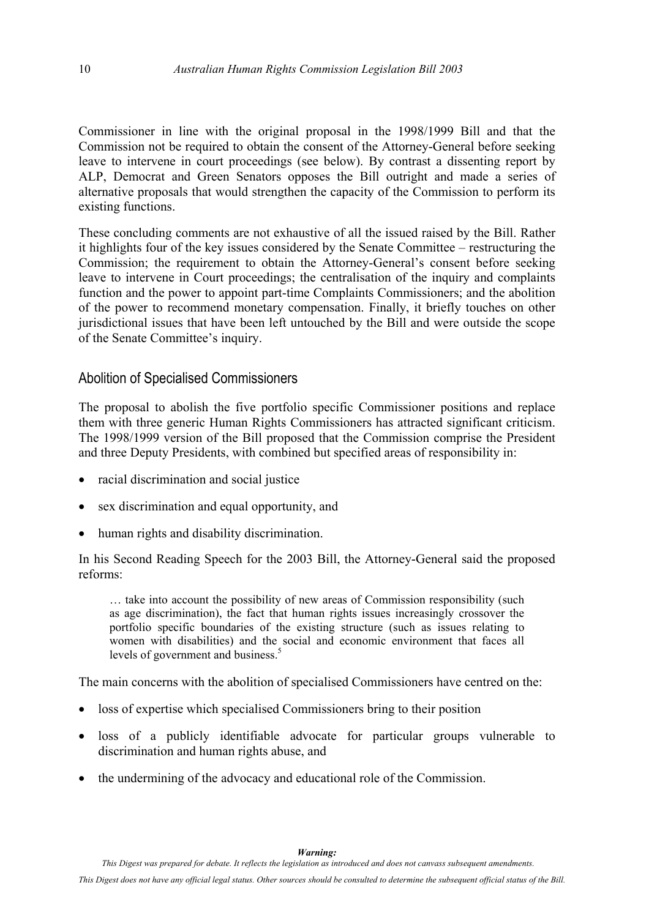<span id="page-15-0"></span>Commissioner in line with the original proposal in the 1998/1999 Bill and that the Commission not be required to obtain the consent of the Attorney-General before seeking leave to intervene in court proceedings (see below). By contrast a dissenting report by ALP, Democrat and Green Senators opposes the Bill outright and made a series of alternative proposals that would strengthen the capacity of the Commission to perform its existing functions.

These concluding comments are not exhaustive of all the issued raised by the Bill. Rather it highlights four of the key issues considered by the Senate Committee – restructuring the Commission; the requirement to obtain the Attorney-General's consent before seeking leave to intervene in Court proceedings; the centralisation of the inquiry and complaints function and the power to appoint part-time Complaints Commissioners; and the abolition of the power to recommend monetary compensation. Finally, it briefly touches on other jurisdictional issues that have been left untouched by the Bill and were outside the scope of the Senate Committee's inquiry.

### Abolition of Specialised Commissioners

The proposal to abolish the five portfolio specific Commissioner positions and replace them with three generic Human Rights Commissioners has attracted significant criticism. The 1998/1999 version of the Bill proposed that the Commission comprise the President and three Deputy Presidents, with combined but specified areas of responsibility in:

- racial discrimination and social justice
- sex discrimination and equal opportunity, and
- human rights and disability discrimination.

In his Second Reading Speech for the 2003 Bill, the Attorney-General said the proposed reforms:

… take into account the possibility of new areas of Commission responsibility (such as age discrimination), the fact that human rights issues increasingly crossover the portfolio specific boundaries of the existing structure (such as issues relating to women with disabilities) and the social and economic environment that faces all levels of government and business.<sup>[5](#page-16-1)</sup>

The main concerns with the abolition of specialised Commissioners have centred on the:

- loss of expertise which specialised Commissioners bring to their position
- loss of a publicly identifiable advocate for particular groups vulnerable to discrimination and human rights abuse, and
- the undermining of the advocacy and educational role of the Commission.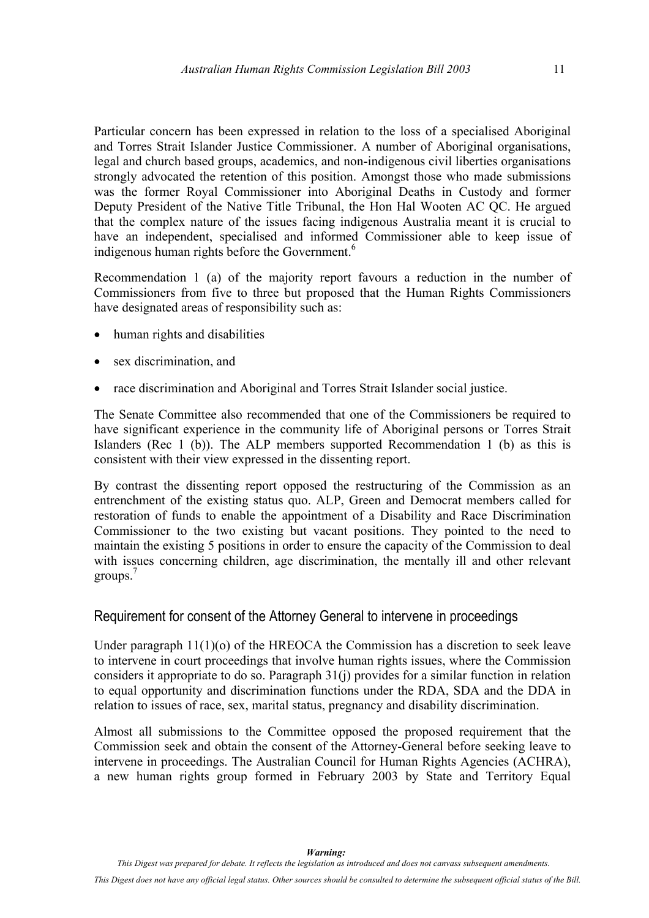<span id="page-16-0"></span>Particular concern has been expressed in relation to the loss of a specialised Aboriginal and Torres Strait Islander Justice Commissioner. A number of Aboriginal organisations, legal and church based groups, academics, and non-indigenous civil liberties organisations strongly advocated the retention of this position. Amongst those who made submissions was the former Royal Commissioner into Aboriginal Deaths in Custody and former Deputy President of the Native Title Tribunal, the Hon Hal Wooten AC QC. He argued that the complex nature of the issues facing indigenous Australia meant it is crucial to have an independent, specialised and informed Commissioner able to keep issue of indigenous human rights before the Government. [6](#page-17-0)

<span id="page-16-1"></span>Recommendation 1 (a) of the majority report favours a reduction in the number of Commissioners from five to three but proposed that the Human Rights Commissioners have designated areas of responsibility such as:

- human rights and disabilities
- sex discrimination, and
- race discrimination and Aboriginal and Torres Strait Islander social justice.

The Senate Committee also recommended that one of the Commissioners be required to have significant experience in the community life of Aboriginal persons or Torres Strait Islanders (Rec 1 (b)). The ALP members supported Recommendation 1 (b) as this is consistent with their view expressed in the dissenting report.

By contrast the dissenting report opposed the restructuring of the Commission as an entrenchment of the existing status quo. ALP, Green and Democrat members called for restoration of funds to enable the appointment of a Disability and Race Discrimination Commissioner to the two existing but vacant positions. They pointed to the need to maintain the existing 5 positions in order to ensure the capacity of the Commission to deal with issues concerning children, age discrimination, the mentally ill and other relevant groups.<sup>[7](#page-17-1)</sup>

#### Requirement for consent of the Attorney General to intervene in proceedings

Under paragraph 11(1)(o) of the HREOCA the Commission has a discretion to seek leave to intervene in court proceedings that involve human rights issues, where the Commission considers it appropriate to do so. Paragraph 31(j) provides for a similar function in relation to equal opportunity and discrimination functions under the RDA, SDA and the DDA in relation to issues of race, sex, marital status, pregnancy and disability discrimination.

Almost all submissions to the Committee opposed the proposed requirement that the Commission seek and obtain the consent of the Attorney-General before seeking leave to intervene in proceedings. The Australian Council for Human Rights Agencies (ACHRA), a new human rights group formed in February 2003 by State and Territory Equal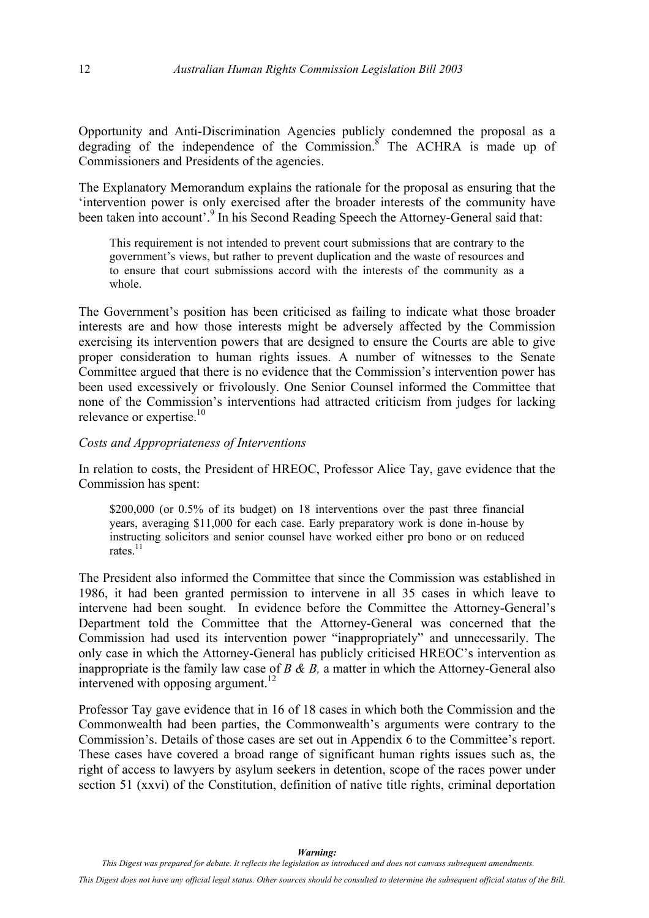Opportunity and Anti-Discrimination Agencies publicly condemned the proposal as a degrading of the independence of the Commission.<sup>8</sup> The ACHRA is made up of Commissioners and Presidents of the agencies.

The Explanatory Memorandum explains the rationale for the proposal as ensuring that the 'intervention power is only exercised after the broader interests of the community have been taken into account'.<sup>9</sup> In his Second Reading Speech the Attorney-General said that:

This requirement is not intended to prevent court submissions that are contrary to the government's views, but rather to prevent duplication and the waste of resources and to ensure that court submissions accord with the interests of the community as a whole.

<span id="page-17-1"></span><span id="page-17-0"></span>The Government's position has been criticised as failing to indicate what those broader interests are and how those interests might be adversely affected by the Commission exercising its intervention powers that are designed to ensure the Courts are able to give proper consideration to human rights issues. A number of witnesses to the Senate Committee argued that there is no evidence that the Commission's intervention power has been used excessively or frivolously. One Senior Counsel informed the Committee that none of the Commission's interventions had attracted criticism from judges for lacking relevance or expertise.<sup>10</sup>

#### <span id="page-17-2"></span>*Costs and Appropriateness of Interventions*

In relation to costs, the President of HREOC, Professor Alice Tay, gave evidence that the Commission has spent:

\$200,000 (or 0.5% of its budget) on 18 interventions over the past three financial years, averaging \$11,000 for each case. Early preparatory work is done in-house by instructing solicitors and senior counsel have worked either pro bono or on reduced rates<sup>[11](#page-18-2)</sup>

The President also informed the Committee that since the Commission was established in 1986, it had been granted permission to intervene in all 35 cases in which leave to intervene had been sought. In evidence before the Committee the Attorney-General's Department told the Committee that the Attorney-General was concerned that the Commission had used its intervention power "inappropriately" and unnecessarily. The only case in which the Attorney-General has publicly criticised HREOC's intervention as inappropriate is the family law case of *B & B,* a matter in which the Attorney-General also intervened with opposing argument.<sup>12</sup>

Professor Tay gave evidence that in 16 of 18 cases in which both the Commission and the Commonwealth had been parties, the Commonwealth's arguments were contrary to the Commission's. Details of those cases are set out in Appendix 6 to the Committee's report. These cases have covered a broad range of significant human rights issues such as, the right of access to lawyers by asylum seekers in detention, scope of the races power under section 51 (xxvi) of the Constitution, definition of native title rights, criminal deportation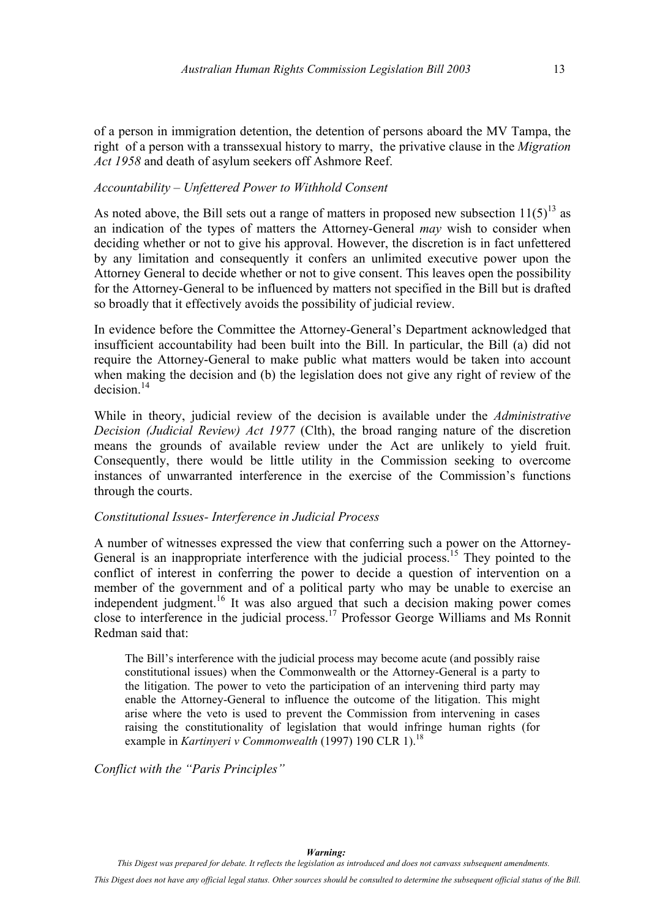of a person in immigration detention, the detention of persons aboard the MV Tampa, the right of a person with a transsexual history to marry, the privative clause in the *Migration Act 1958* and death of asylum seekers off Ashmore Reef.

#### *Accountability – Unfettered Power to Withhold Consent*

As noted above, the Bill sets out a range of matters in proposed new subsection  $11(5)^{13}$  as an indication of the types of matters the Attorney-General *may* wish to consider when deciding whether or not to give his approval. However, the discretion is in fact unfettered by any limitation and consequently it confers an unlimited executive power upon the Attorney General to decide whether or not to give consent. This leaves open the possibility for the Attorney-General to be influenced by matters not specified in the Bill but is drafted so broadly that it effectively avoids the possibility of judicial review.

In evidence before the Committee the Attorney-General's Department acknowledged that insufficient accountability had been built into the Bill. In particular, the Bill (a) did not require the Attorney-General to make public what matters would be taken into account when making the decision and (b) the legislation does not give any right of review of the  $decision<sup>14</sup>$ 

<span id="page-18-1"></span><span id="page-18-0"></span>While in theory, judicial review of the decision is available under the *Administrative Decision (Judicial Review) Act 1977* (Clth), the broad ranging nature of the discretion means the grounds of available review under the Act are unlikely to yield fruit. Consequently, there would be little utility in the Commission seeking to overcome instances of unwarranted interference in the exercise of the Commission's functions through the courts.

#### <span id="page-18-3"></span><span id="page-18-2"></span>*Constitutional Issues- Interference in Judicial Process*

A number of witnesses expressed the view that conferring such a power on the Attorney-General is an inappropriate interference with the judicial process.<sup>15</sup> They pointed to the conflict of interest in conferring the power to decide a question of intervention on a member of the government and of a political party who may be unable to exercise an independent judgment.<sup>16</sup> It was also argued that such a decision making power comes close to interference in the judicial process.<sup>17</sup> Professor George Williams and Ms Ronnit Redman said that:

The Bill's interference with the judicial process may become acute (and possibly raise constitutional issues) when the Commonwealth or the Attorney-General is a party to the litigation. The power to veto the participation of an intervening third party may enable the Attorney-General to influence the outcome of the litigation. This might arise where the veto is used to prevent the Commission from intervening in cases raising the constitutionality of legislation that would infringe human rights (for example in *Kartinyeri v Commonwealth* (1997) 190 CLR 1).<sup>[18](#page-19-6)</sup>

*Conflict with the "Paris Principles"*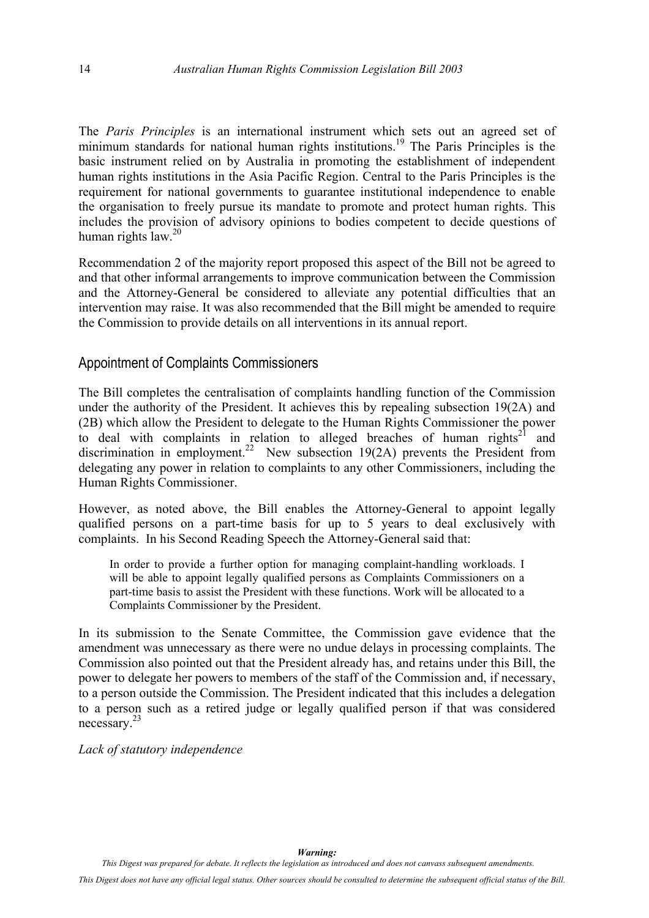<span id="page-19-0"></span>The *Paris Principles* is an international instrument which sets out an agreed set of minimum standards for national human rights institutions. [19](#page-20-1) The Paris Principles is the basic instrument relied on by Australia in promoting the establishment of independent human rights institutions in the Asia Pacific Region. Central to the Paris Principles is the requirement for national governments to guarantee institutional independence to enable the organisation to freely pursue its mandate to promote and protect human rights. This includes the provision of advisory opinions to bodies competent to decide questions of human rights law.[20](#page-20-2)

Recommendation 2 of the majority report proposed this aspect of the Bill not be agreed to and that other informal arrangements to improve communication between the Commission and the Attorney-General be considered to alleviate any potential difficulties that an intervention may raise. It was also recommended that the Bill might be amended to require the Commission to provide details on all interventions in its annual report.

#### Appointment of Complaints Commissioners

The Bill completes the centralisation of complaints handling function of the Commission under the authority of the President. It achieves this by repealing subsection 19(2A) and (2B) which allow the President to delegate to the Human Rights Commissioner the power to deal with complaints in relation to alleged breaches of human rights<sup>21</sup> and discrimination in employment.<sup>22</sup> New subsection 19(2A) prevents the President from delegating any power in relation to complaints to any other Commissioners, including the Human Rights Commissioner.

However, as noted above, the Bill enables the Attorney-General to appoint legally qualified persons on a part-time basis for up to 5 years to deal exclusively with complaints. In his Second Reading Speech the Attorney-General said that:

In order to provide a further option for managing complaint-handling workloads. I will be able to appoint legally qualified persons as Complaints Commissioners on a part-time basis to assist the President with these functions. Work will be allocated to a Complaints Commissioner by the President.

<span id="page-19-4"></span><span id="page-19-3"></span><span id="page-19-2"></span><span id="page-19-1"></span>In its submission to the Senate Committee, the Commission gave evidence that the amendment was unnecessary as there were no undue delays in processing complaints. The Commission also pointed out that the President already has, and retains under this Bill, the power to delegate her powers to members of the staff of the Commission and, if necessary, to a person outside the Commission. The President indicated that this includes a delegation to a person such as a retired judge or legally qualified person if that was considered necessary.[23](#page-20-5)

<span id="page-19-6"></span><span id="page-19-5"></span>*Lack of statutory independence*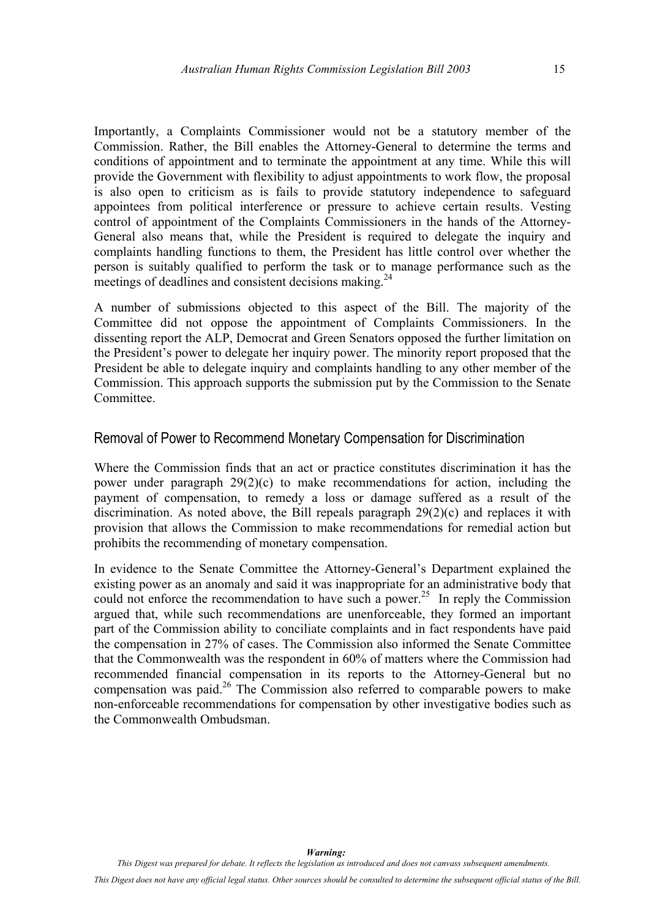<span id="page-20-3"></span><span id="page-20-2"></span><span id="page-20-0"></span>Importantly, a Complaints Commissioner would not be a statutory member of the Commission. Rather, the Bill enables the Attorney-General to determine the terms and conditions of appointment and to terminate the appointment at any time. While this will provide the Government with flexibility to adjust appointments to work flow, the proposal is also open to criticism as is fails to provide statutory independence to safeguard appointees from political interference or pressure to achieve certain results. Vesting control of appointment of the Complaints Commissioners in the hands of the Attorney-General also means that, while the President is required to delegate the inquiry and complaints handling functions to them, the President has little control over whether the person is suitably qualified to perform the task or to manage performance such as the meetings of deadlines and consistent decisions making.<sup>24</sup>

<span id="page-20-5"></span><span id="page-20-4"></span>A number of submissions objected to this aspect of the Bill. The majority of the Committee did not oppose the appointment of Complaints Commissioners. In the dissenting report the ALP, Democrat and Green Senators opposed the further limitation on the President's power to delegate her inquiry power. The minority report proposed that the President be able to delegate inquiry and complaints handling to any other member of the Commission. This approach supports the submission put by the Commission to the Senate Committee.

#### Removal of Power to Recommend Monetary Compensation for Discrimination

Where the Commission finds that an act or practice constitutes discrimination it has the power under paragraph 29(2)(c) to make recommendations for action, including the payment of compensation, to remedy a loss or damage suffered as a result of the discrimination. As noted above, the Bill repeals paragraph 29(2)(c) and replaces it with provision that allows the Commission to make recommendations for remedial action but prohibits the recommending of monetary compensation.

<span id="page-20-1"></span>In evidence to the Senate Committee the Attorney-General's Department explained the existing power as an anomaly and said it was inappropriate for an administrative body that could not enforce the recommendation to have such a power.<sup>25</sup> In reply the Commission argued that, while such recommendations are unenforceable, they formed an important part of the Commission ability to conciliate complaints and in fact respondents have paid the compensation in 27% of cases. The Commission also informed the Senate Committee that the Commonwealth was the respondent in 60% of matters where the Commission had recommended financial compensation in its reports to the Attorney-General but no compensation was paid.<sup>26</sup> The Commission also referred to comparable powers to make non-enforceable recommendations for compensation by other investigative bodies such as the Commonwealth Ombudsman.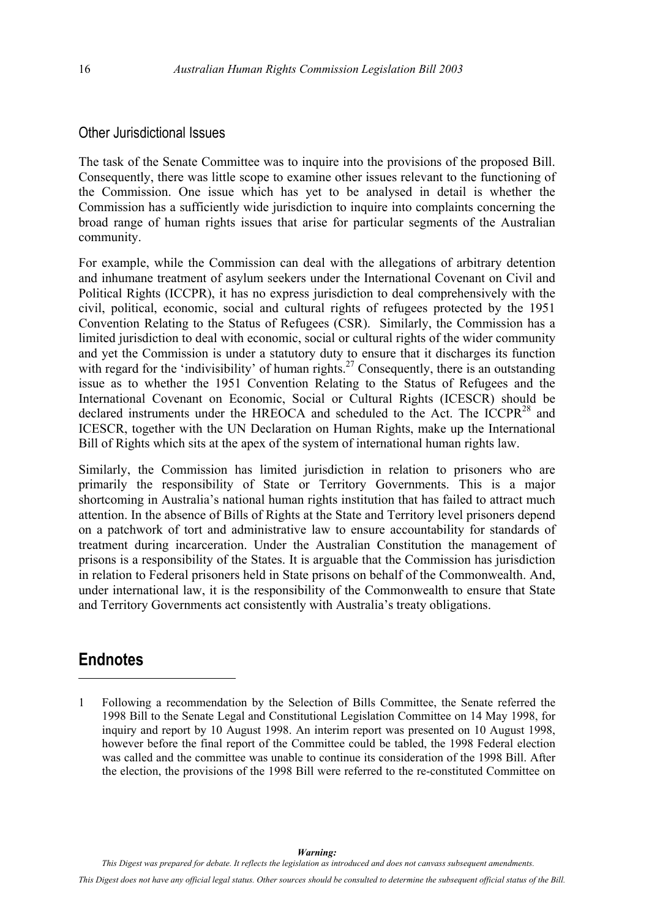#### <span id="page-21-0"></span>Other Jurisdictional Issues

The task of the Senate Committee was to inquire into the provisions of the proposed Bill. Consequently, there was little scope to examine other issues relevant to the functioning of the Commission. One issue which has yet to be analysed in detail is whether the Commission has a sufficiently wide jurisdiction to inquire into complaints concerning the broad range of human rights issues that arise for particular segments of the Australian community.

<span id="page-21-1"></span>For example, while the Commission can deal with the allegations of arbitrary detention and inhumane treatment of asylum seekers under the International Covenant on Civil and Political Rights (ICCPR), it has no express jurisdiction to deal comprehensively with the civil, political, economic, social and cultural rights of refugees protected by the 1951 Convention Relating to the Status of Refugees (CSR). Similarly, the Commission has a limited jurisdiction to deal with economic, social or cultural rights of the wider community and yet the Commission is under a statutory duty to ensure that it discharges its function with regard for the 'indivisibility' of human rights.<sup>27</sup> Consequently, there is an outstanding issue as to whether the 1951 Convention Relating to the Status of Refugees and the International Covenant on Economic, Social or Cultural Rights (ICESCR) should be declared instruments under the HREOCA and scheduled to the Act. The ICCPR<sup>28</sup> and ICESCR, together with the UN Declaration on Human Rights, make up the International Bill of Rights which sits at the apex of the system of international human rights law.

<span id="page-21-5"></span><span id="page-21-4"></span><span id="page-21-3"></span><span id="page-21-2"></span>Similarly, the Commission has limited jurisdiction in relation to prisoners who are primarily the responsibility of State or Territory Governments. This is a major shortcoming in Australia's national human rights institution that has failed to attract much attention. In the absence of Bills of Rights at the State and Territory level prisoners depend on a patchwork of tort and administrative law to ensure accountability for standards of treatment during incarceration. Under the Australian Constitution the management of prisons is a responsibility of the States. It is arguable that the Commission has jurisdiction in relation to Federal prisoners held in State prisons on behalf of the Commonwealth. And, under international law, it is the responsibility of the Commonwealth to ensure that State and Territory Governments act consistently with Australia's treaty obligations.

### **Endnotes**

 $\overline{a}$ 

1 Following a recommendation by the Selection of Bills Committee, the Senate referred the 1998 Bill to the Senate Legal and Constitutional Legislation Committee on 14 May 1998, for inquiry and report by 10 August 1998. An interim report was presented on 10 August 1998, however before the final report of the Committee could be tabled, the 1998 Federal election was called and the committee was unable to continue its consideration of the 1998 Bill. After the election, the provisions of the 1998 Bill were referred to the re-constituted Committee on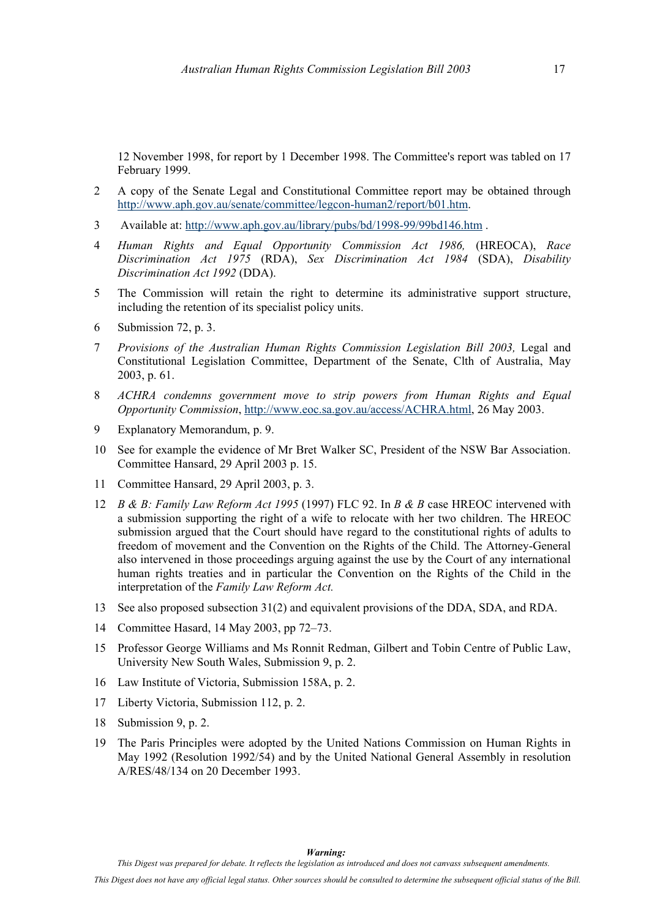12 November 1998, for report by 1 December 1998. The Committee's report was tabled on 17 February 1999.

- 2 A copy of the Senate Legal and Constitutional Committee report may be obtained through <http://www.aph.gov.au/senate/committee/legcon-human2/report/b01.htm>.
- 3 Available at: <http://www.aph.gov.au/library/pubs/bd/1998-99/99bd146.htm> .
- 4 *Human Rights and Equal Opportunity Commission Act 1986,* (HREOCA), *Race Discrimination Act 1975* (RDA), *Sex Discrimination Act 1984* (SDA), *Disability Discrimination Act 1992* (DDA).
- 5 The Commission will retain the right to determine its administrative support structure, including the retention of its specialist policy units.
- 6 Submission 72, p. 3.
- 7 *Provisions of the Australian Human Rights Commission Legislation Bill 2003,* Legal and Constitutional Legislation Committee, Department of the Senate, Clth of Australia, May 2003, p. 61.
- 8 *ACHRA condemns government move to strip powers from Human Rights and Equal Opportunity Commission*,<http://www.eoc.sa.gov.au/access/ACHRA.html>, 26 May 2003.
- 9 Explanatory Memorandum, p. 9.
- 10 See for example the evidence of Mr Bret Walker SC, President of the NSW Bar Association. Committee Hansard, 29 April 2003 p. 15.
- 11 Committee Hansard, 29 April 2003, p. 3.
- 12 *B & B: Family Law Reform Act 1995* (1997) FLC 92. In *B & B* case HREOC intervened with a submission supporting the right of a wife to relocate with her two children. The HREOC submission argued that the Court should have regard to the constitutional rights of adults to freedom of movement and the Convention on the Rights of the Child. The Attorney-General also intervened in those proceedings arguing against the use by the Court of any international human rights treaties and in particular the Convention on the Rights of the Child in the interpretation of the *Family Law Reform Act.*
- 13 See also proposed subsection 31(2) and equivalent provisions of the DDA, SDA, and RDA.
- 14 Committee Hasard, 14 May 2003, pp 72–73.
- 15 Professor George Williams and Ms Ronnit Redman, Gilbert and Tobin Centre of Public Law, University New South Wales, Submission 9, p. 2.
- 16 Law Institute of Victoria, Submission 158A, p. 2.
- 17 Liberty Victoria, Submission 112, p. 2.
- 18 Submission 9, p. 2.
- 19 The Paris Principles were adopted by the United Nations Commission on Human Rights in May 1992 (Resolution 1992/54) and by the United National General Assembly in resolution A/RES/48/134 on 20 December 1993.

*This Digest was prepared for debate. It reflects the legislation as introduced and does not canvass subsequent amendments.*